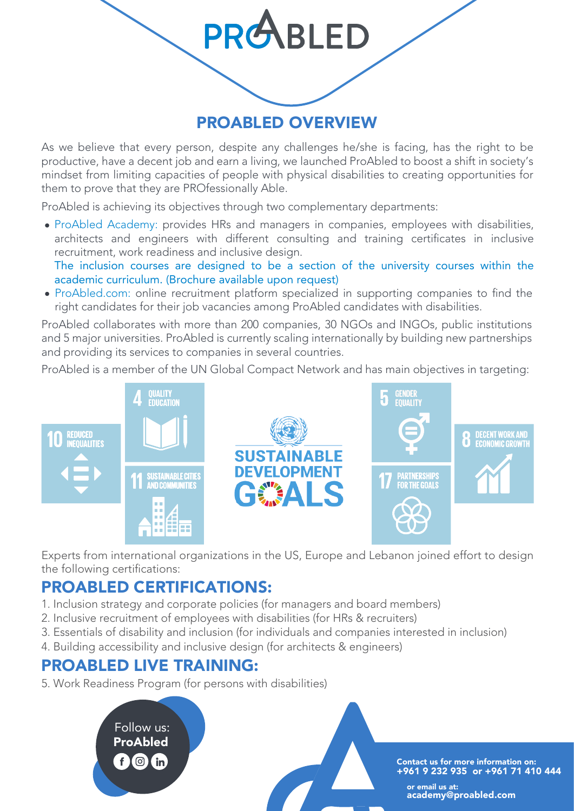## PROABLED OVERVIEW

**PRABLED** 

As we believe that every person, despite any challenges he/she is facing, has the right to be productive, have a decent job and earn a living, we launched ProAbled to boost a shift in society's mindset from limiting capacities of people with physical disabilities to creating opportunities for them to prove that they are PROfessionally Able.

ProAbled is achieving its objectives through two complementary departments:

ProAbled Academy: provides HRs and managers in companies, employees with disabilities, architects and engineers with different consulting and training certificates in inclusive recruitment, work readiness and inclusive design. The inclusion courses are designed to be a section of the university courses within the

academic curriculum. (Brochure available upon request)

ProAbled.com: online recruitment platform specialized in supporting companies to find the right candidates for their job vacancies among ProAbled candidates with disabilities.

ProAbled collaborates with more than 200 companies, 30 NGOs and INGOs, public institutions and 5 major universities. ProAbled is currently scaling internationally by building new partnerships and providing its services to companies in several countries.

ProAbled is a member of the UN Global Compact Network and has main objectives in targeting:



Experts from international organizations in the US, Europe and Lebanon joined effort to design the following certifications:

## PROABLED CERTIFICATIONS:

- 1. Inclusion strategy and corporate policies (for managers and board members)
- 2. Inclusive recruitment of employees with disabilities (for HRs & recruiters)
- 3. Essentials of disability and inclusion (for individuals and companies interested in inclusion)
- 4. Building accessibility and inclusive design (for architects & engineers)

### PROABLED LIVE TRAINING:

5. Work Readiness Program (for persons with disabilities)